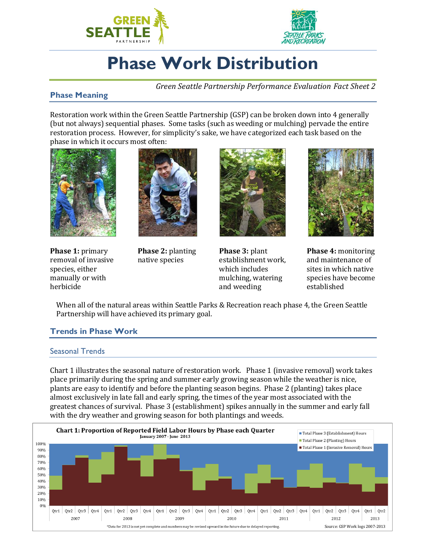



# **Phase Work Distribution**

*Green Seattle Partnership Performance Evaluation Fact Sheet 2*

# **Phase Meaning**

Restoration work within the Green Seattle Partnership (GSP) can be broken down into 4 generally (but not always) sequential phases. Some tasks (such as weeding or mulching) pervade the entire restoration process. However, for simplicity's sake, we have categorized each task based on the phase in which it occurs most often:



**Phase 1:** primary removal of invasive species, either manually or with herbicide



**Phase 2:** planting native species



**Phase 3:** plant establishment work, which includes mulching, watering and weeding



**Phase 4:** monitoring and maintenance of sites in which native species have become established

When all of the natural areas within Seattle Parks & Recreation reach phase 4, the Green Seattle Partnership will have achieved its primary goal.

### **Trends in Phase Work**

#### Seasonal Trends

Chart 1 illustrates the seasonal nature of restoration work. Phase 1 (invasive removal) work takes place primarily during the spring and summer early growing season while the weather is nice, plants are easy to identify and before the planting season begins. Phase 2 (planting) takes place almost exclusively in late fall and early spring, the times of the year most associated with the greatest chances of survival. Phase 3 (establishment) spikes annually in the summer and early fall with the dry weather and growing season for both plantings and weeds.